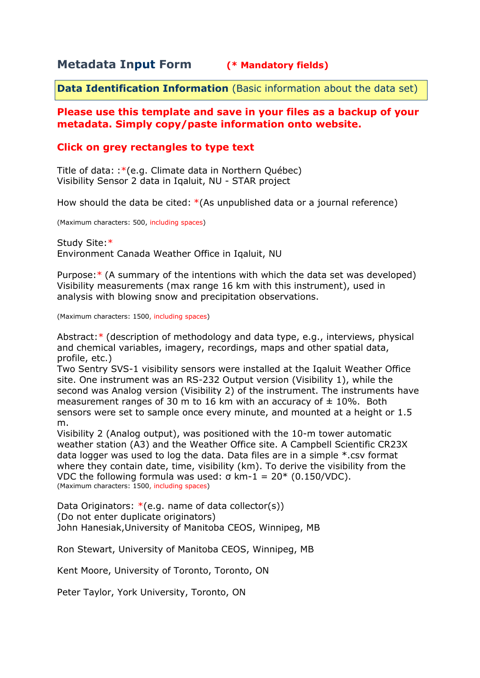## **Metadata Input Form (\* Mandatory fields)**

**Data Identification Information** (Basic information about the data set)

#### **Please use this template and save in your files as a backup of your metadata. Simply copy/paste information onto website.**

### **Click on grey rectangles to type text**

Title of data: :\*(e.g. Climate data in Northern Québec) Visibility Sensor 2 data in Iqaluit, NU - STAR project

How should the data be cited: \*(As unpublished data or a journal reference)

(Maximum characters: 500, including spaces)

Study Site:\* Environment Canada Weather Office in Iqaluit, NU

Purpose:\* (A summary of the intentions with which the data set was developed) Visibility measurements (max range 16 km with this instrument), used in analysis with blowing snow and precipitation observations.

(Maximum characters: 1500, including spaces)

Abstract:\* (description of methodology and data type, e.g., interviews, physical and chemical variables, imagery, recordings, maps and other spatial data, profile, etc.)

Two Sentry SVS-1 visibility sensors were installed at the Iqaluit Weather Office site. One instrument was an RS-232 Output version (Visibility 1), while the second was Analog version (Visibility 2) of the instrument. The instruments have measurement ranges of 30 m to 16 km with an accuracy of  $\pm$  10%. Both sensors were set to sample once every minute, and mounted at a height or 1.5 m.

Visibility 2 (Analog output), was positioned with the 10-m tower automatic weather station (A3) and the Weather Office site. A Campbell Scientific CR23X data logger was used to log the data. Data files are in a simple \*.csv format where they contain date, time, visibility (km). To derive the visibility from the VDC the following formula was used: σ km-1 =  $20*(0.150/\text{VDC})$ . (Maximum characters: 1500, including spaces)

Data Originators:  $*(e.g.$  name of data collector(s)) (Do not enter duplicate originators) John Hanesiak,University of Manitoba CEOS, Winnipeg, MB

Ron Stewart, University of Manitoba CEOS, Winnipeg, MB

Kent Moore, University of Toronto, Toronto, ON

Peter Taylor, York University, Toronto, ON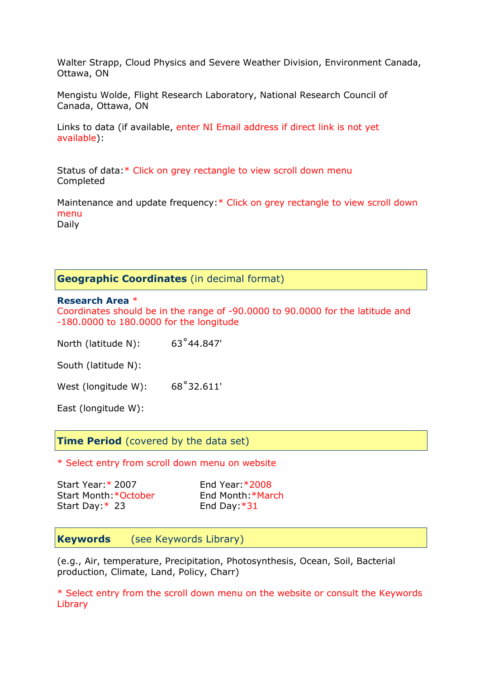Walter Strapp, Cloud Physics and Severe Weather Division, Environment Canada, Ottawa, ON

Mengistu Wolde, Flight Research Laboratory, National Research Council of Canada, Ottawa, ON

Links to data (if available, enter NI Email address if direct link is not yet available):

Status of data:\* Click on grey rectangle to view scroll down menu Completed

Maintenance and update frequency:\* Click on grey rectangle to view scroll down menu

Daily

**Geographic Coordinates** (in decimal format)

#### **Research Area** \*

Coordinates should be in the range of -90.0000 to 90.0000 for the latitude and -180.0000 to 180.0000 for the longitude

North (latitude N): 63°44.847'

South (latitude N):

West (longitude W): 68°32.611'

East (longitude W):

**Time Period** (covered by the data set)

\* Select entry from scroll down menu on website

| Start Year:* 2007    | End Year: $*2008$ |
|----------------------|-------------------|
| Start Month *October | End Month: *March |
| Start Day: $*$ 23    | End Day: $*31$    |

**Keywords** (see Keywords Library)

(e.g., Air, temperature, Precipitation, Photosynthesis, Ocean, Soil, Bacterial production, Climate, Land, Policy, Charr)

\* Select entry from the scroll down menu on the website or consult the Keywords Library